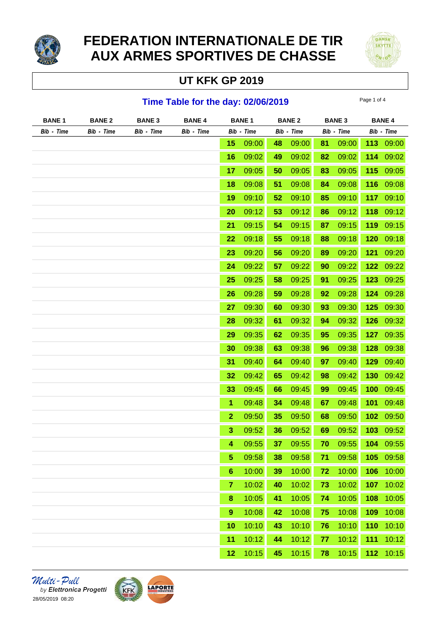

# **FEDERATION INTERNATIONALE DE TIR AUX ARMES SPORTIVES DE CHASSE**

## **UT KFK GP 2019**



#### **Time Table for the day: 02/06/2019** Page 1 of 4

| <b>BANE 1</b> | <b>BANE 2</b> | <b>BANE 3</b> | <b>BANE 4</b> | <b>BANE1</b>     |       | <b>BANE 2</b> |       | <b>BANE 3</b> |       | <b>BANE 4</b> |           |
|---------------|---------------|---------------|---------------|------------------|-------|---------------|-------|---------------|-------|---------------|-----------|
| Bib - Time    | Bib - Time    | Bib - Time    | Bib - Time    | Bib - Time       |       | Bib - Time    |       | Bib - Time    |       | Bib - Time    |           |
|               |               |               |               | 15               | 09:00 | 48            | 09:00 | 81            | 09:00 |               | 113 09:00 |
|               |               |               |               | 16               | 09:02 | 49            | 09:02 | 82            | 09:02 | 114           | 09:02     |
|               |               |               |               | 17               | 09:05 | 50            | 09:05 | 83            | 09:05 | 115           | 09:05     |
|               |               |               |               | 18               | 09:08 | 51            | 09:08 | 84            | 09:08 | 116           | 09:08     |
|               |               |               |               | 19               | 09:10 | 52            | 09:10 | 85            | 09:10 | 117           | 09:10     |
|               |               |               |               | 20               | 09:12 | 53            | 09:12 | 86            | 09:12 | 118           | 09:12     |
|               |               |               |               | 21               | 09:15 | 54            | 09:15 | 87            | 09:15 | 119           | 09:15     |
|               |               |               |               | 22               | 09:18 | 55            | 09:18 | 88            | 09:18 | 120           | 09:18     |
|               |               |               |               | 23               | 09:20 | 56            | 09:20 | 89            | 09:20 | 121           | 09:20     |
|               |               |               |               | 24               | 09:22 | 57            | 09:22 | 90            | 09:22 | 122           | 09:22     |
|               |               |               |               | 25               | 09:25 | 58            | 09:25 | 91            | 09:25 | 123           | 09:25     |
|               |               |               |               | 26               | 09:28 | 59            | 09:28 | 92            | 09:28 | 124           | 09:28     |
|               |               |               |               | 27               | 09:30 | 60            | 09:30 | 93            | 09:30 | 125           | 09:30     |
|               |               |               |               | 28               | 09:32 | 61            | 09:32 | 94            | 09:32 | 126           | 09:32     |
|               |               |               |               | 29               | 09:35 | 62            | 09:35 | 95            | 09:35 | 127           | 09:35     |
|               |               |               |               | 30               | 09:38 | 63            | 09:38 | 96            | 09:38 | 128           | 09:38     |
|               |               |               |               | 31               | 09:40 | 64            | 09:40 | 97            | 09:40 | 129           | 09:40     |
|               |               |               |               | 32               | 09:42 | 65            | 09:42 | 98            | 09:42 | 130           | 09:42     |
|               |               |               |               | 33               | 09:45 | 66            | 09:45 | 99            | 09:45 | 100           | 09:45     |
|               |               |               |               | 1                | 09:48 | 34            | 09:48 | 67            | 09:48 | 101           | 09:48     |
|               |               |               |               | $\mathbf{2}$     | 09:50 | 35            | 09:50 | 68            | 09:50 | 102           | 09:50     |
|               |               |               |               | 3                | 09:52 | 36            | 09:52 | 69            | 09:52 | 103           | 09:52     |
|               |               |               |               | 4                | 09:55 | 37            | 09:55 | 70            | 09:55 | 104           | 09:55     |
|               |               |               |               | 5                | 09:58 | 38            | 09:58 | 71            | 09:58 | 105           | 09:58     |
|               |               |               |               | $6\phantom{1}6$  | 10:00 | 39            | 10:00 | 72            | 10:00 | 106           | 10:00     |
|               |               |               |               | 7                | 10:02 | 40            | 10:02 | 73            | 10:02 | 107           | 10:02     |
|               |               |               |               | 8                | 10:05 | 41            | 10:05 | 74            | 10:05 | 108           | 10:05     |
|               |               |               |               | $\boldsymbol{9}$ | 10:08 | 42            | 10:08 | 75            | 10:08 | 109           | 10:08     |
|               |               |               |               | 10               | 10:10 | 43            | 10:10 | 76            | 10:10 | 110           | 10:10     |
|               |               |               |               | 11               | 10:12 | 44            | 10:12 | 77            | 10:12 | 111           | 10:12     |
|               |               |               |               | 12               | 10:15 | 45            | 10:15 | 78            | 10:15 | 112           | 10:15     |

Multi-Pull by Elettronica Progetti 28/05/2019 08:20

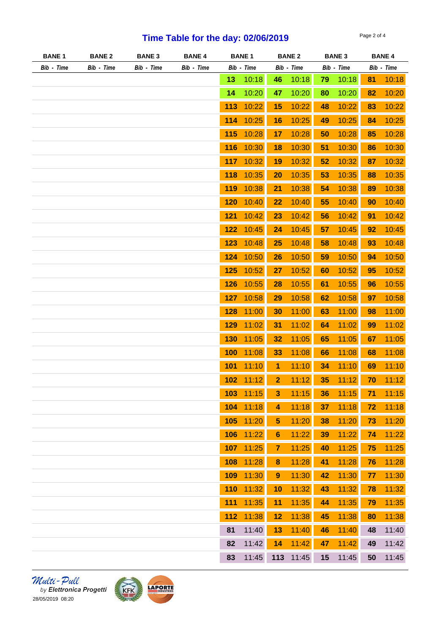## **Time Table for the day: 02/06/2019** Page 2 of 4

| <b>BANE1</b> | <b>BANE 2</b> | <b>BANE 3</b> | <b>BANE 4</b> | <b>BANE 1</b> |       | <b>BANE 2</b>           |       | <b>BANE 3</b> |       | <b>BANE 4</b> |            |
|--------------|---------------|---------------|---------------|---------------|-------|-------------------------|-------|---------------|-------|---------------|------------|
| Bib - Time   | Bib - Time    | Bib - Time    | Bib - Time    | Bib - Time    |       | Bib - Time              |       | Bib - Time    |       |               | Bib - Time |
|              |               |               |               | 13            | 10:18 | 46                      | 10:18 | 79            | 10:18 | 81            | 10:18      |
|              |               |               |               | 14            | 10:20 | 47                      | 10:20 | 80            | 10:20 | 82            | 10:20      |
|              |               |               |               | 113           | 10:22 | 15                      | 10:22 | 48            | 10:22 | 83            | 10:22      |
|              |               |               |               | 114           | 10:25 | 16                      | 10:25 | 49            | 10:25 | 84            | 10:25      |
|              |               |               |               | 115           | 10:28 | 17                      | 10:28 | 50            | 10:28 | 85            | 10:28      |
|              |               |               |               | 116           | 10:30 | 18                      | 10:30 | 51            | 10:30 | 86            | 10:30      |
|              |               |               |               | 117           | 10:32 | 19                      | 10:32 | 52            | 10:32 | 87            | 10:32      |
|              |               |               |               | 118           | 10:35 | 20                      | 10:35 | 53            | 10:35 | 88            | 10:35      |
|              |               |               |               | 119           | 10:38 | 21                      | 10:38 | 54            | 10:38 | 89            | 10:38      |
|              |               |               |               | 120           | 10:40 | 22                      | 10:40 | 55            | 10:40 | 90            | 10:40      |
|              |               |               |               | 121           | 10:42 | 23                      | 10:42 | 56            | 10:42 | 91            | 10:42      |
|              |               |               |               | 122           | 10:45 | 24                      | 10:45 | 57            | 10:45 | 92            | 10:45      |
|              |               |               |               | 123           | 10:48 | 25                      | 10:48 | 58            | 10:48 | 93            | 10:48      |
|              |               |               |               | 124           | 10:50 | 26                      | 10:50 | 59            | 10:50 | 94            | 10:50      |
|              |               |               |               | 125           | 10:52 | 27                      | 10:52 | 60            | 10:52 | 95            | 10:52      |
|              |               |               |               | 126           | 10:55 | 28                      | 10:55 | 61            | 10:55 | 96            | 10:55      |
|              |               |               |               | 127           | 10:58 | 29                      | 10:58 | 62            | 10:58 | 97            | 10:58      |
|              |               |               |               | 128           | 11:00 | 30                      | 11:00 | 63            | 11:00 | 98            | 11:00      |
|              |               |               |               | 129           | 11:02 | 31                      | 11:02 | 64            | 11:02 | 99            | 11:02      |
|              |               |               |               | 130           | 11:05 | 32                      | 11:05 | 65            | 11:05 | 67            | 11:05      |
|              |               |               |               | 100           | 11:08 | 33                      | 11:08 | 66            | 11:08 | 68            | 11:08      |
|              |               |               |               | 101           | 11:10 | 1                       | 11:10 | 34            | 11:10 | 69            | 11:10      |
|              |               |               |               | 102           | 11:12 | $\overline{2}$          | 11:12 | 35            | 11:12 | 70            | 11:12      |
|              |               |               |               | 103           | 11:15 |                         | 11:15 |               | 11:15 |               | 11:15      |
|              |               |               |               | 104           | 11:18 | 3                       | 11:18 | 36            |       | 71            |            |
|              |               |               |               |               |       | 4                       |       | 37            | 11:18 | 72            | 11:18      |
|              |               |               |               | 105           | 11:20 | $\overline{\mathbf{5}}$ | 11:20 | 38            | 11:20 | 73            | 11:20      |
|              |               |               |               | 106           | 11:22 | $6\phantom{1}$          | 11:22 | 39            | 11:22 | 74            | 11:22      |
|              |               |               |               | 107           | 11:25 | $\overline{7}$          | 11:25 | 40            | 11:25 | 75            | 11:25      |
|              |               |               |               | 108           | 11:28 | $\bf{8}$                | 11:28 | 41            | 11:28 | 76            | 11:28      |
|              |               |               |               | 109           | 11:30 | $\boldsymbol{9}$        | 11:30 | 42            | 11:30 | 77            | 11:30      |
|              |               |               |               | 110           | 11:32 | 10                      | 11:32 | 43            | 11:32 | 78            | 11:32      |
|              |               |               |               | 111           | 11:35 | 11                      | 11:35 | 44            | 11:35 | 79            | 11:35      |
|              |               |               |               | 112           | 11:38 | 12                      | 11:38 | 45            | 11:38 | 80            | 11:38      |
|              |               |               |               | 81            | 11:40 | 13                      | 11:40 | 46            | 11:40 | 48            | 11:40      |
|              |               |               |               | 82            | 11:42 | 14                      | 11:42 | 47            | 11:42 | 49            | 11:42      |
|              |               |               |               | 83            | 11:45 | 113                     | 11:45 | 15            | 11:45 | 50            | 11:45      |

*Multi - Pull*<br>by Elettronica Progetti<br>28/05/2019 08:20

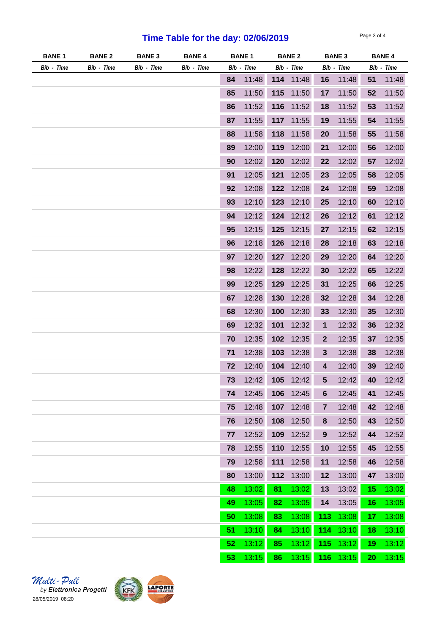## **Time Table for the day: 02/06/2019** Page 3 of 4

| <b>BANE1</b> | <b>BANE 2</b> | <b>BANE 3</b> | <b>BANE 4</b> | <b>BANE1</b> |       | <b>BANE 2</b> |           | <b>BANE 3</b>    |       | <b>BANE 4</b> |            |
|--------------|---------------|---------------|---------------|--------------|-------|---------------|-----------|------------------|-------|---------------|------------|
| Bib - Time   | Bib - Time    | Bib - Time    | Bib - Time    | Bib - Time   |       | Bib - Time    |           | Bib - Time       |       |               | Bib - Time |
|              |               |               |               | 84           | 11:48 |               | 114 11:48 | 16               | 11:48 | 51            | 11:48      |
|              |               |               |               | 85           | 11:50 | 115           | 11:50     | 17               | 11:50 | 52            | 11:50      |
|              |               |               |               | 86           | 11:52 | 116           | 11:52     | 18               | 11:52 | 53            | 11:52      |
|              |               |               |               | 87           | 11:55 |               | 117 11:55 | 19               | 11:55 | 54            | 11:55      |
|              |               |               |               | 88           | 11:58 | 118           | 11:58     | 20               | 11:58 | 55            | 11:58      |
|              |               |               |               | 89           | 12:00 | 119           | 12:00     | 21               | 12:00 | 56            | 12:00      |
|              |               |               |               | 90           | 12:02 | 120           | 12:02     | 22               | 12:02 | 57            | 12:02      |
|              |               |               |               | 91           | 12:05 | 121           | 12:05     | 23               | 12:05 | 58            | 12:05      |
|              |               |               |               | 92           | 12:08 |               | 122 12:08 | 24               | 12:08 | 59            | 12:08      |
|              |               |               |               | 93           | 12:10 | 123           | 12:10     | 25               | 12:10 | 60            | 12:10      |
|              |               |               |               | 94           | 12:12 | 124           | 12:12     | 26               | 12:12 | 61            | 12:12      |
|              |               |               |               | 95           | 12:15 | 125           | 12:15     | 27               | 12:15 | 62            | 12:15      |
|              |               |               |               | 96           | 12:18 | 126           | 12:18     | 28               | 12:18 | 63            | 12:18      |
|              |               |               |               | 97           | 12:20 | 127           | 12:20     | 29               | 12:20 | 64            | 12:20      |
|              |               |               |               | 98           | 12:22 | 128           | 12:22     | 30               | 12:22 | 65            | 12:22      |
|              |               |               |               | 99           | 12:25 | 129           | 12:25     | 31               | 12:25 | 66            | 12:25      |
|              |               |               |               | 67           | 12:28 | 130           | 12:28     | 32               | 12:28 | 34            | 12:28      |
|              |               |               |               | 68           | 12:30 | 100           | 12:30     | 33               | 12:30 | 35            | 12:30      |
|              |               |               |               | 69           | 12:32 | 101           | 12:32     | 1                | 12:32 | 36            | 12:32      |
|              |               |               |               | 70           | 12:35 | 102           | 12:35     | $\mathbf{2}$     | 12:35 | 37            | 12:35      |
|              |               |               |               | 71           | 12:38 | 103           | 12:38     | 3                | 12:38 | 38            | 12:38      |
|              |               |               |               | 72           | 12:40 | 104           | 12:40     | 4                | 12:40 | 39            | 12:40      |
|              |               |               |               | 73           | 12:42 |               | 105 12:42 | 5                | 12:42 | 40            | 12:42      |
|              |               |               |               | 74           | 12:45 | 106           | 12:45     | 6                | 12:45 | 41            | 12:45      |
|              |               |               |               | 75           | 12:48 | 107           | 12:48     | 7                | 12:48 | 42            | 12:48      |
|              |               |               |               | 76           | 12:50 | 108           | 12:50     | 8                | 12:50 | 43            | 12:50      |
|              |               |               |               | 77           | 12:52 | 109           | 12:52     | $\boldsymbol{9}$ | 12:52 | 44            | 12:52      |
|              |               |               |               | 78           | 12:55 | 110           | 12:55     | 10               | 12:55 | 45            | 12:55      |
|              |               |               |               | 79           | 12:58 | 111           | 12:58     | 11               | 12:58 | 46            | 12:58      |
|              |               |               |               | 80           | 13:00 | 112           | 13:00     | 12               | 13:00 | 47            | 13:00      |
|              |               |               |               | 48           | 13:02 | 81            | 13:02     | 13               | 13:02 | 15            | 13:02      |
|              |               |               |               | 49           | 13:05 | 82            | 13:05     | 14               | 13:05 | 16            | 13:05      |
|              |               |               |               | 50           | 13:08 | 83            | 13:08     | 113              | 13:08 | 17            | 13:08      |
|              |               |               |               | 51           | 13:10 | 84            | 13:10     | 114              | 13:10 | 18            | 13:10      |
|              |               |               |               | 52           | 13:12 | 85            | 13:12     | 115              | 13:12 | 19            | 13:12      |
|              |               |               |               | 53           | 13:15 | 86            | 13:15     | 116              | 13:15 | 20            | 13:15      |

 $\frac{1}{28/05/2019}$  Pull<br>by Elettronica Progetti<br>28/05/2019 08:20